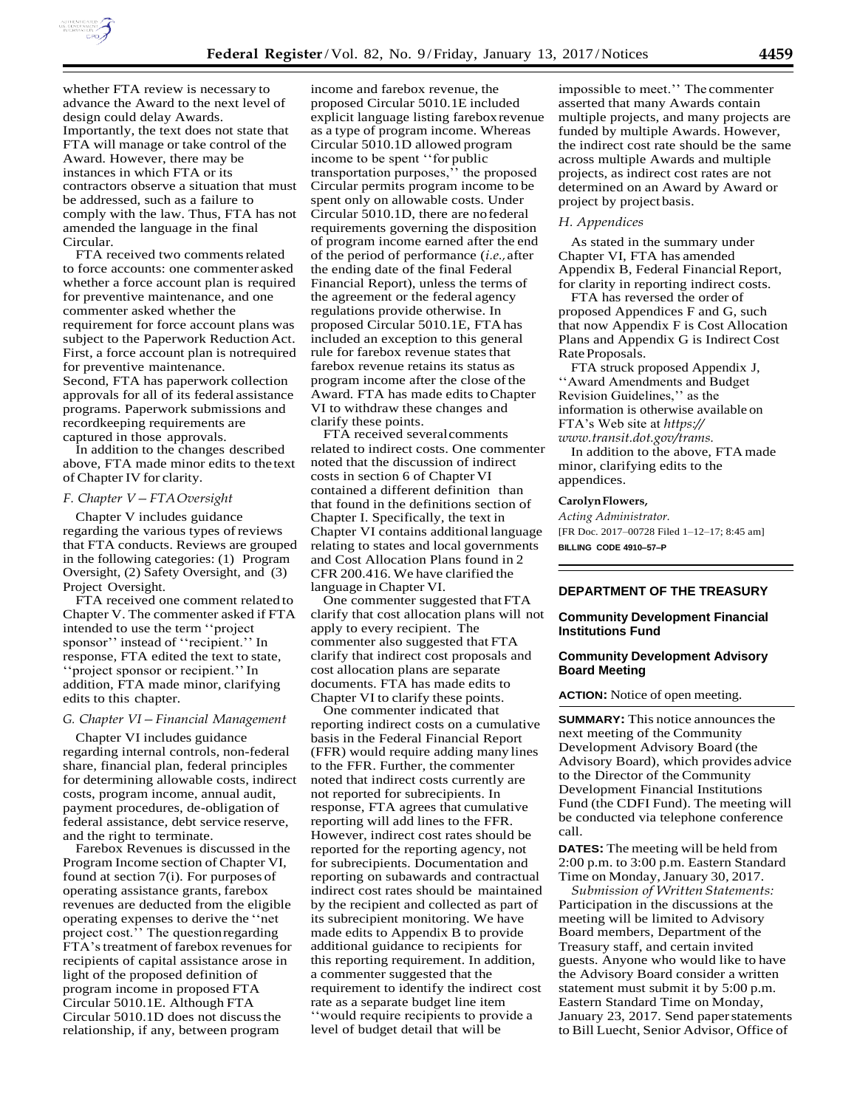

whether FTA review is necessary to advance the Award to the next level of design could delay Awards. Importantly, the text does not state that FTA will manage or take control of the Award. However, there may be instances in which FTA or its contractors observe a situation that must be addressed, such as a failure to comply with the law. Thus, FTA has not amended the language in the final Circular.

FTA received two comments related to force accounts: one commenter asked whether a force account plan is required for preventive maintenance, and one commenter asked whether the requirement for force account plans was subject to the Paperwork Reduction Act. First, a force account plan is notrequired for preventive maintenance. Second, FTA has paperwork collection approvals for all of its federal assistance programs. Paperwork submissions and recordkeeping requirements are captured in those approvals.

In addition to the changes described above, FTA made minor edits to the text of Chapter IV for clarity.

### *F. Chapter V—FTA Oversight*

Chapter V includes guidance regarding the various types of reviews that FTA conducts. Reviews are grouped in the following categories: (1) Program Oversight, (2) Safety Oversight, and (3) Project Oversight.

FTA received one comment related to Chapter V. The commenter asked if FTA intended to use the term ''project sponsor'' instead of ''recipient.'' In response, FTA edited the text to state, ''project sponsor or recipient.''In addition, FTA made minor, clarifying edits to this chapter.

### *G. Chapter VI—Financial Management*

Chapter VI includes guidance regarding internal controls, non-federal share, financial plan, federal principles for determining allowable costs, indirect costs, program income, annual audit, payment procedures, de-obligation of federal assistance, debt service reserve, and the right to terminate.

Farebox Revenues is discussed in the Program Income section of Chapter VI, found at section 7(i). For purposes of operating assistance grants, farebox revenues are deducted from the eligible operating expenses to derive the ''net project cost.'' The question regarding FTA's treatment of farebox revenues for recipients of capital assistance arose in light of the proposed definition of program income in proposed FTA Circular 5010.1E. Although FTA Circular 5010.1D does not discuss the relationship, if any, between program

income and farebox revenue, the proposed Circular 5010.1E included explicit language listing farebox revenue as a type of program income. Whereas Circular 5010.1D allowed program income to be spent ''for public transportation purposes,'' the proposed Circular permits program income to be spent only on allowable costs. Under Circular 5010.1D, there are no federal requirements governing the disposition of program income earned after the end of the period of performance (*i.e.,* after the ending date of the final Federal Financial Report), unless the terms of the agreement or the federal agency regulations provide otherwise. In proposed Circular 5010.1E, FTA has included an exception to this general rule for farebox revenue states that farebox revenue retains its status as program income after the close of the Award. FTA has made edits to Chapter VI to withdraw these changes and clarify these points.

FTA received several comments related to indirect costs. One commenter noted that the discussion of indirect costs in section 6 of Chapter VI contained a different definition than that found in the definitions section of Chapter I. Specifically, the text in Chapter VI contains additional language relating to states and local governments and Cost Allocation Plans found in 2 CFR 200.416. We have clarified the language in Chapter VI.

One commenter suggested that FTA clarify that cost allocation plans will not apply to every recipient. The commenter also suggested that FTA clarify that indirect cost proposals and cost allocation plans are separate documents. FTA has made edits to Chapter VI to clarify these points.

One commenter indicated that reporting indirect costs on a cumulative basis in the Federal Financial Report (FFR) would require adding many lines to the FFR. Further, the commenter noted that indirect costs currently are not reported for subrecipients. In response, FTA agrees that cumulative reporting will add lines to the FFR. However, indirect cost rates should be reported for the reporting agency, not for subrecipients. Documentation and reporting on subawards and contractual indirect cost rates should be maintained by the recipient and collected as part of its subrecipient monitoring. We have made edits to Appendix B to provide additional guidance to recipients for this reporting requirement. In addition, a commenter suggested that the requirement to identify the indirect cost rate as a separate budget line item ''would require recipients to provide a level of budget detail that will be

impossible to meet.'' The commenter asserted that many Awards contain multiple projects, and many projects are funded by multiple Awards. However, the indirect cost rate should be the same across multiple Awards and multiple projects, as indirect cost rates are not determined on an Award by Award or project by project basis.

### *H. Appendices*

As stated in the summary under Chapter VI, FTA has amended Appendix B, Federal Financial Report, for clarity in reporting indirect costs.

FTA has reversed the order of proposed Appendices F and G, such that now Appendix F is Cost Allocation Plans and Appendix G is Indirect Cost Rate Proposals.

FTA struck proposed Appendix J, ''Award Amendments and Budget Revision Guidelines,'' as the information is otherwise available on FTA's Web site at *[https://](https://www.transit.dot.gov/trams) [www.transit.dot.gov/trams.](https://www.transit.dot.gov/trams)*

In addition to the above, FTA made minor, clarifying edits to the appendices.

#### **Carolyn Flowers,**

*Acting Administrator.* [FR Doc. 2017–00728 Filed 1–12–17; 8:45 am] **BILLING CODE 4910–57–P**

## **DEPARTMENT OF THE TREASURY**

## **Community Development Financial Institutions Fund**

### **Community Development Advisory Board Meeting**

**ACTION:** Notice of open meeting.

**SUMMARY:** This notice announces the next meeting of the Community Development Advisory Board (the Advisory Board), which provides advice to the Director of the Community Development Financial Institutions Fund (the CDFI Fund). The meeting will be conducted via telephone conference call.

**DATES:** The meeting will be held from 2:00 p.m. to 3:00 p.m. Eastern Standard Time on Monday, January 30, 2017.

*Submission of Written Statements:* Participation in the discussions at the meeting will be limited to Advisory Board members, Department of the Treasury staff, and certain invited guests. Anyone who would like to have the Advisory Board consider a written statement must submit it by 5:00 p.m. Eastern Standard Time on Monday, January 23, 2017. Send paper statements to Bill Luecht, Senior Advisor, Office of